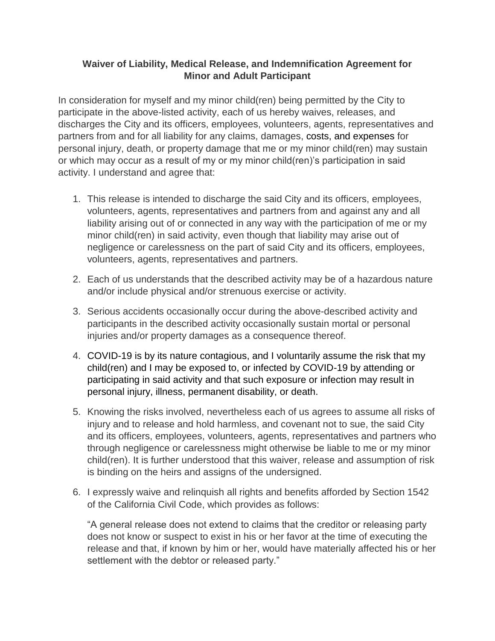## **Waiver of Liability, Medical Release, and Indemnification Agreement for Minor and Adult Participant**

In consideration for myself and my minor child(ren) being permitted by the City to participate in the above-listed activity, each of us hereby waives, releases, and discharges the City and its officers, employees, volunteers, agents, representatives and partners from and for all liability for any claims, damages, costs, and expenses for personal injury, death, or property damage that me or my minor child(ren) may sustain or which may occur as a result of my or my minor child(ren)'s participation in said activity. I understand and agree that:

- 1. This release is intended to discharge the said City and its officers, employees, volunteers, agents, representatives and partners from and against any and all liability arising out of or connected in any way with the participation of me or my minor child(ren) in said activity, even though that liability may arise out of negligence or carelessness on the part of said City and its officers, employees, volunteers, agents, representatives and partners.
- 2. Each of us understands that the described activity may be of a hazardous nature and/or include physical and/or strenuous exercise or activity.
- 3. Serious accidents occasionally occur during the above-described activity and participants in the described activity occasionally sustain mortal or personal injuries and/or property damages as a consequence thereof.
- 4. COVID-19 is by its nature contagious, and I voluntarily assume the risk that my child(ren) and I may be exposed to, or infected by COVID-19 by attending or participating in said activity and that such exposure or infection may result in personal injury, illness, permanent disability, or death.
- 5. Knowing the risks involved, nevertheless each of us agrees to assume all risks of injury and to release and hold harmless, and covenant not to sue, the said City and its officers, employees, volunteers, agents, representatives and partners who through negligence or carelessness might otherwise be liable to me or my minor child(ren). It is further understood that this waiver, release and assumption of risk is binding on the heirs and assigns of the undersigned.
- 6. I expressly waive and relinquish all rights and benefits afforded by Section 1542 of the California Civil Code, which provides as follows:

"A general release does not extend to claims that the creditor or releasing party does not know or suspect to exist in his or her favor at the time of executing the release and that, if known by him or her, would have materially affected his or her settlement with the debtor or released party."